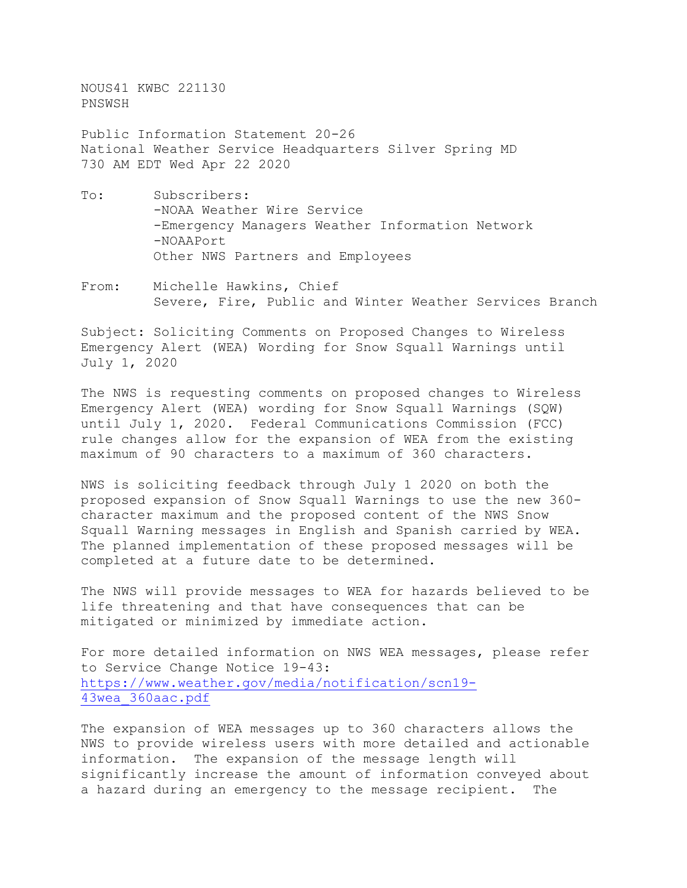NOUS41 KWBC 221130 PNSWSH

Public Information Statement 20-26 National Weather Service Headquarters Silver Spring MD 730 AM EDT Wed Apr 22 2020

- To: Subscribers: -NOAA Weather Wire Service -Emergency Managers Weather Information Network -NOAAPort Other NWS Partners and Employees
- From: Michelle Hawkins, Chief Severe, Fire, Public and Winter Weather Services Branch

Subject: Soliciting Comments on Proposed Changes to Wireless Emergency Alert (WEA) Wording for Snow Squall Warnings until July 1, 2020

The NWS is requesting comments on proposed changes to Wireless Emergency Alert (WEA) wording for Snow Squall Warnings (SQW) until July 1, 2020. Federal Communications Commission (FCC) rule changes allow for the expansion of WEA from the existing maximum of 90 characters to a maximum of 360 characters.

NWS is soliciting feedback through July 1 2020 on both the proposed expansion of Snow Squall Warnings to use the new 360 character maximum and the proposed content of the NWS Snow Squall Warning messages in English and Spanish carried by WEA. The planned implementation of these proposed messages will be completed at a future date to be determined.

The NWS will provide messages to WEA for hazards believed to be life threatening and that have consequences that can be mitigated or minimized by immediate action.

For more detailed information on NWS WEA messages, please refer to Service Change Notice 19-43: [https://www.weather.gov/media/notification/scn19-](https://www.weather.gov/media/notification/scn19-43wea_360aac.pdf) [43wea\\_360aac.pdf](https://www.weather.gov/media/notification/scn19-43wea_360aac.pdf)

The expansion of WEA messages up to 360 characters allows the NWS to provide wireless users with more detailed and actionable information. The expansion of the message length will significantly increase the amount of information conveyed about a hazard during an emergency to the message recipient. The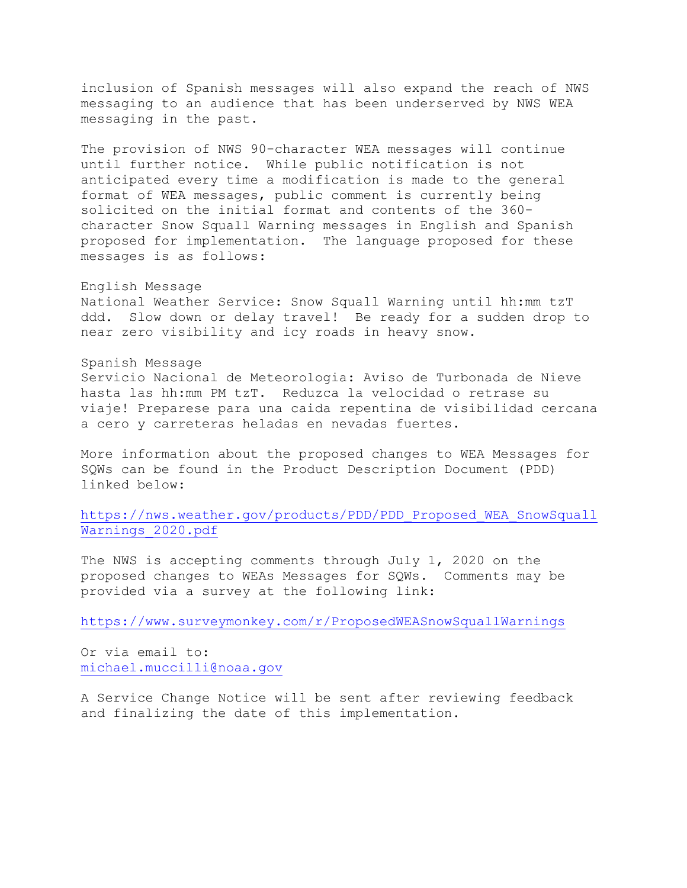inclusion of Spanish messages will also expand the reach of NWS messaging to an audience that has been underserved by NWS WEA messaging in the past.

The provision of NWS 90-character WEA messages will continue until further notice. While public notification is not anticipated every time a modification is made to the general format of WEA messages, public comment is currently being solicited on the initial format and contents of the 360 character Snow Squall Warning messages in English and Spanish proposed for implementation. The language proposed for these messages is as follows:

## English Message

National Weather Service: Snow Squall Warning until hh:mm tzT ddd. Slow down or delay travel! Be ready for a sudden drop to near zero visibility and icy roads in heavy snow.

## Spanish Message

Servicio Nacional de Meteorologia: Aviso de Turbonada de Nieve hasta las hh:mm PM tzT. Reduzca la velocidad o retrase su viaje! Preparese para una caida repentina de visibilidad cercana a cero y carreteras heladas en nevadas fuertes.

More information about the proposed changes to WEA Messages for SQWs can be found in the Product Description Document (PDD) linked below:

[https://nws.weather.gov/products/PDD/PDD\\_Proposed\\_WEA\\_SnowSquall](https://nws.weather.gov/products/PDD/PDD_Proposed_WEA_SnowSquallWarnings_2020.pdf) [Warnings\\_2020.pdf](https://nws.weather.gov/products/PDD/PDD_Proposed_WEA_SnowSquallWarnings_2020.pdf)

The NWS is accepting comments through July 1, 2020 on the proposed changes to WEAs Messages for SQWs. Comments may be provided via a survey at the following link:

<https://www.surveymonkey.com/r/ProposedWEASnowSquallWarnings>

Or via email to: [michael.muccilli@noaa.gov](mailto:michael.muccilli@noaa.gov)

A Service Change Notice will be sent after rev[iewing feedback](http://www.nws.noaa.gov/survey/nws-survey.php?code=NWMV1OUTPUT)  and finalizing the date of this implementation.